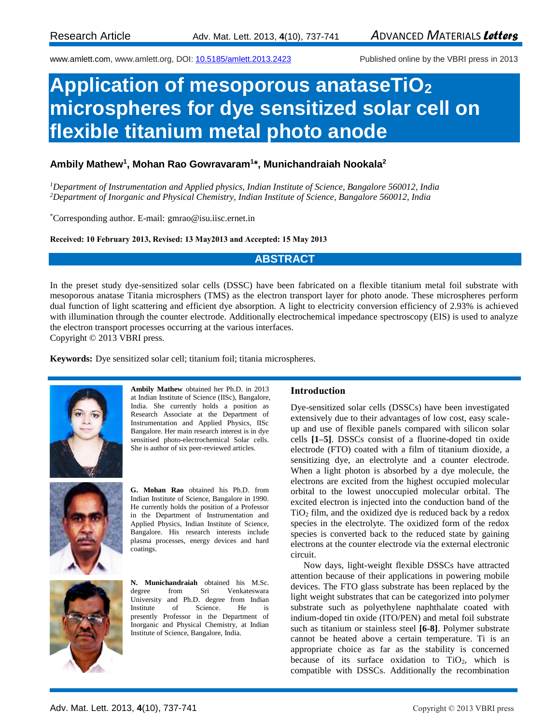www.amlett.com, www.amlett.org, DOI[: 10.5185/amlett.2013.2423](http://dx.doi.org/10.5185/amlett.2013.2423) Published online by the VBRI press in 2013

# **Application of mesoporous anataseTiO<sup>2</sup> microspheres for dye sensitized solar cell on flexible titanium metal photo anode**

# **Ambily Mathew<sup>1</sup> , Mohan Rao Gowravaram<sup>1</sup> \*, Munichandraiah Nookala<sup>2</sup>**

*<sup>1</sup>Department of Instrumentation and Applied physics, Indian Institute of Science, Bangalore 560012, India <sup>2</sup>Department of Inorganic and Physical Chemistry, Indian Institute of Science, Bangalore 560012, India* 

\*Corresponding author. E-mail: gmrao@isu.iisc.ernet.in

**Received: 10 February 2013, Revised: 13 May2013 and Accepted: 15 May 2013**

# **ABSTRACT**

In the preset study dye-sensitized solar cells (DSSC) have been fabricated on a flexible titanium metal foil substrate with mesoporous anatase Titania microsphers (TMS) as the electron transport layer for photo anode. These microspheres perform dual function of light scattering and efficient dye absorption. A light to electricity conversion efficiency of 2.93% is achieved with illumination through the counter electrode. Additionally electrochemical impedance spectroscopy (EIS) is used to analyze the electron transport processes occurring at the various interfaces. Copyright © 2013 VBRI press.

**Keywords:** Dye sensitized solar cell; titanium foil; titania microspheres.



**Ambily Mathew** obtained her Ph.D. in 2013 at Indian Institute of Science (IISc), Bangalore, India. She currently holds a position as Research Associate at the Department of Instrumentation and Applied Physics, IISc Bangalore. Her main research interest is in dye sensitised photo-electrochemical Solar cells. She is author of six peer-reviewed articles.



**G. Mohan Rao** obtained his Ph.D. from Indian Institute of Science, Bangalore in 1990. He currently holds the position of a Professor in the Department of Instrumentation and Applied Physics, Indian Institute of Science, Bangalore. His research interests include plasma processes, energy devices and hard coatings.

**N. Munichandraiah** obtained his M.Sc. degree from Sri Venkateswara University and Ph.D. degree from Indian<br>Institute of Science. He is Institute of Science. He presently Professor in the Department of Inorganic and Physical Chemistry, at Indian Institute of Science, Bangalore, India.

### **Introduction**

Dye-sensitized solar cells (DSSCs) have been investigated extensively due to their advantages of low cost, easy scaleup and use of flexible panels compared with silicon solar cells **[1–5]**. DSSCs consist of a fluorine-doped tin oxide electrode (FTO) coated with a film of titanium dioxide, a sensitizing dye, an electrolyte and a counter electrode. When a light photon is absorbed by a dye molecule, the electrons are excited from the highest occupied molecular orbital to the lowest unoccupied molecular orbital. The excited electron is injected into the conduction band of the TiO<sup>2</sup> film, and the oxidized dye is reduced back by a redox species in the electrolyte. The oxidized form of the redox species is converted back to the reduced state by gaining electrons at the counter electrode via the external electronic circuit.

Now days, light-weight flexible DSSCs have attracted attention because of their applications in powering mobile devices. The FTO glass substrate has been replaced by the light weight substrates that can be categorized into polymer substrate such as polyethylene naphthalate coated with indium-doped tin oxide (ITO/PEN) and metal foil substrate such as titanium or stainless steel **[6-8]**. Polymer substrate cannot be heated above a certain temperature. Ti is an appropriate choice as far as the stability is concerned because of its surface oxidation to  $TiO<sub>2</sub>$ , which is compatible with DSSCs. Additionally the recombination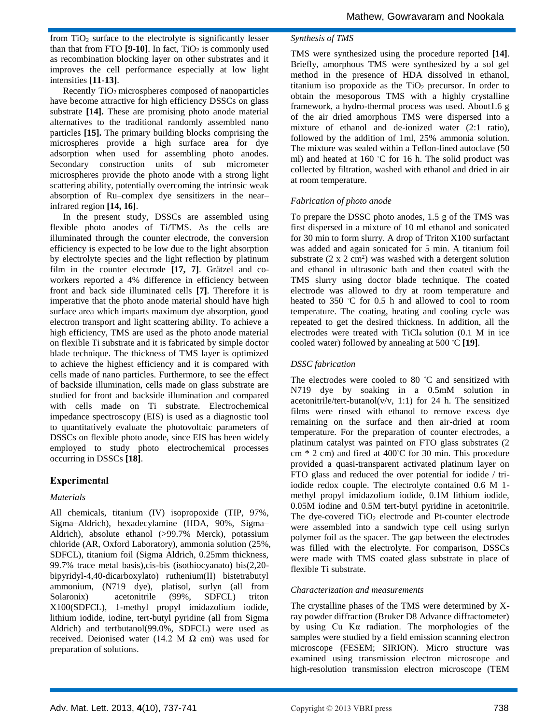from  $TiO<sub>2</sub>$  surface to the electrolyte is significantly lesser than that from FTO  $[9-10]$ . In fact, TiO<sub>2</sub> is commonly used as recombination blocking layer on other substrates and it improves the cell performance especially at low light intensities **[11-13]**.

Recently TiO<sub>2</sub> microspheres composed of nanoparticles have become attractive for high efficiency DSSCs on glass substrate **[14].** These are promising photo anode material alternatives to the traditional randomly assembled nano particles **[15].** The primary building blocks comprising the microspheres provide a high surface area for dye adsorption when used for assembling photo anodes. Secondary construction units of sub micrometer microspheres provide the photo anode with a strong light scattering ability, potentially overcoming the intrinsic weak absorption of Ru–complex dye sensitizers in the near– infrared region **[14, 16]**.

In the present study, DSSCs are assembled using flexible photo anodes of Ti/TMS. As the cells are illuminated through the counter electrode, the conversion efficiency is expected to be low due to the light absorption by electrolyte species and the light reflection by platinum film in the counter electrode **[17, 7]**. Grätzel and coworkers reported a 4% difference in efficiency between front and back side illuminated cells **[7]**. Therefore it is imperative that the photo anode material should have high surface area which imparts maximum dye absorption, good electron transport and light scattering ability. To achieve a high efficiency, TMS are used as the photo anode material on flexible Ti substrate and it is fabricated by simple doctor blade technique. The thickness of TMS layer is optimized to achieve the highest efficiency and it is compared with cells made of nano particles. Furthermore, to see the effect of backside illumination, cells made on glass substrate are studied for front and backside illumination and compared with cells made on Ti substrate. Electrochemical impedance spectroscopy (EIS) is used as a diagnostic tool to quantitatively evaluate the photovoltaic parameters of DSSCs on flexible photo anode, since EIS has been widely employed to study photo electrochemical processes occurring in DSSCs **[18]**.

## **Experimental**

### *Materials*

All chemicals, titanium (IV) isopropoxide (TIP, 97%, Sigma–Aldrich), hexadecylamine (HDA, 90%, Sigma– Aldrich), absolute ethanol (>99.7% Merck), potassium chloride (AR, Oxford Laboratory), ammonia solution (25%, SDFCL), titanium foil (Sigma Aldrich, 0.25mm thickness, 99.7% trace metal basis),cis-bis (isothiocyanato) bis(2,20 bipyridyl-4,40-dicarboxylato) ruthenium(II) bistetrabutyl ammonium, (N719 dye), platisol, surlyn (all from Solaronix) acetonitrile (99%, SDFCL) triton X100(SDFCL), 1-methyl propyl imidazolium iodide, lithium iodide, iodine, tert-butyl pyridine (all from Sigma Aldrich) and tertbutanol(99.0%, SDFCL) were used as received. Deionised water (14.2 M  $\Omega$  cm) was used for preparation of solutions.

### *Synthesis of TMS*

TMS were synthesized using the procedure reported **[14]**. Briefly, amorphous TMS were synthesized by a sol gel method in the presence of HDA dissolved in ethanol, titanium iso propoxide as the  $TiO<sub>2</sub>$  precursor. In order to obtain the mesoporous TMS with a highly crystalline framework, a hydro-thermal process was used. About1.6 g of the air dried amorphous TMS were dispersed into a mixture of ethanol and de-ionized water (2:1 ratio), followed by the addition of 1ml, 25% ammonia solution. The mixture was sealed within a Teflon-lined autoclave (50 ml) and heated at 160 ◦C for 16 h. The solid product was collected by filtration, washed with ethanol and dried in air at room temperature.

## *Fabrication of photo anode*

To prepare the DSSC photo anodes, 1.5 g of the TMS was first dispersed in a mixture of 10 ml ethanol and sonicated for 30 min to form slurry. A drop of Triton X100 surfactant was added and again sonicated for 5 min. A titanium foil substrate  $(2 \times 2 \text{ cm}^2)$  was washed with a detergent solution and ethanol in ultrasonic bath and then coated with the TMS slurry using doctor blade technique. The coated electrode was allowed to dry at room temperature and heated to 350 ℃ for 0.5 h and allowed to cool to room temperature. The coating, heating and cooling cycle was repeated to get the desired thickness. In addition, all the electrodes were treated with TiCl<sub>4</sub> solution (0.1 M in ice cooled water) followed by annealing at 500 ◦C **[19]**.

## *DSSC fabrication*

The electrodes were cooled to 80 ℃ and sensitized with N719 dye by soaking in a 0.5mM solution in acetonitrile/tert-butanol( $v/v$ , 1:1) for 24 h. The sensitized films were rinsed with ethanol to remove excess dye remaining on the surface and then air-dried at room temperature. For the preparation of counter electrodes, a platinum catalyst was painted on FTO glass substrates (2 cm \* 2 cm) and fired at 400◦C for 30 min. This procedure provided a quasi-transparent activated platinum layer on FTO glass and reduced the over potential for iodide / triiodide redox couple. The electrolyte contained 0.6 M 1 methyl propyl imidazolium iodide, 0.1M lithium iodide, 0.05M iodine and 0.5M tert-butyl pyridine in acetonitrile. The dye-covered  $TiO<sub>2</sub>$  electrode and Pt-counter electrode were assembled into a sandwich type cell using surlyn polymer foil as the spacer. The gap between the electrodes was filled with the electrolyte. For comparison, DSSCs were made with TMS coated glass substrate in place of flexible Ti substrate.

### *Characterization and measurements*

The crystalline phases of the TMS were determined by Xray powder diffraction (Bruker D8 Advance diffractometer) by using Cu Kα radiation. The morphologies of the samples were studied by a field emission scanning electron microscope (FESEM; SIRION). Micro structure was examined using transmission electron microscope and high-resolution transmission electron microscope (TEM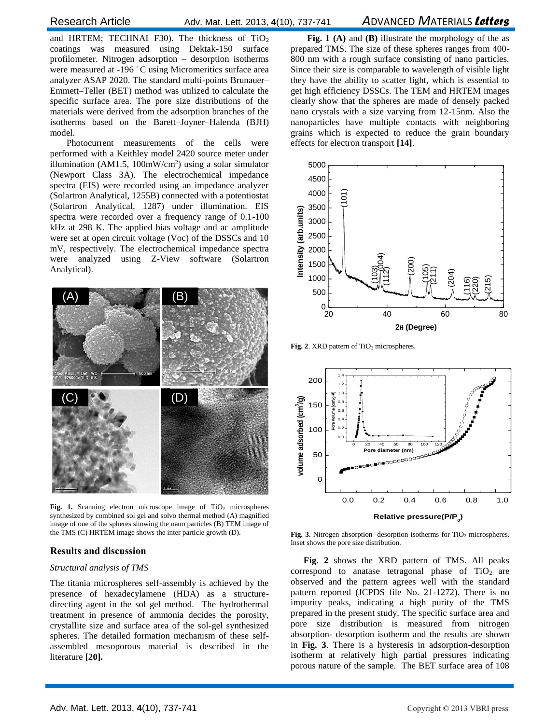and HRTEM; TECHNAI F30). The thickness of  $TiO<sub>2</sub>$ coatings was measured using Dektak-150 surface profilometer. Nitrogen adsorption – desorption isotherms were measured at -196 °C using Micromeritics surface area analyzer ASAP 2020. The standard multi-points Brunauer– Emmett–Teller (BET) method was utilized to calculate the specific surface area. The pore size distributions of the materials were derived from the adsorption branches of the isotherms based on the Barett–Joyner–Halenda (BJH) model.

Photocurrent measurements of the cells were performed with a Keithley model 2420 source meter under illumination (AM1.5,  $100mW/cm<sup>2</sup>$ ) using a solar simulator (Newport Class 3A). The electrochemical impedance spectra (EIS) were recorded using an impedance analyzer (Solartron Analytical, 1255B) connected with a potentiostat (Solartron Analytical, 1287) under illumination. EIS spectra were recorded over a frequency range of 0.1-100 kHz at 298 K. The applied bias voltage and ac amplitude were set at open circuit voltage (Voc) of the DSSCs and 10 mV, respectively. The electrochemical impedance spectra were analyzed using Z-View software (Solartron Analytical).



Fig. 1. Scanning electron microscope image of TiO<sub>2</sub> microspheres synthesized by combined sol gel and solvo thermal method (A) magnified image of one of the spheres showing the nano particles (B) TEM image of the TMS (C) HRTEM image shows the inter particle growth (D).

### **Results and discussion**

#### *Structural analysis of TMS*

The titania microspheres self-assembly is achieved by the presence of hexadecylamene (HDA) as a structuredirecting agent in the sol gel method. The hydrothermal treatment in presence of ammonia decides the porosity, crystallite size and surface area of the sol-gel synthesized spheres. The detailed formation mechanism of these selfassembled mesoporous material is described in the literature **[20].**

**Fig. 1 (A)** and **(B)** illustrate the morphology of the as prepared TMS. The size of these spheres ranges from 400- 800 nm with a rough surface consisting of nano particles. Since their size is comparable to wavelength of visible light they have the ability to scatter light, which is essential to get high efficiency DSSCs. The TEM and HRTEM images clearly show that the spheres are made of densely packed nano crystals with a size varying from 12-15nm. Also the nanoparticles have multiple contacts with neighboring grains which is expected to reduce the grain boundary effects for electron transport **[14]**.



Fig. 2. XRD pattern of TiO<sub>2</sub> microspheres.



Fig. 3. Nitrogen absorption- desorption isotherms for TiO<sub>2</sub> microspheres. Inset shows the pore size distribution.

**Fig. 2** shows the XRD pattern of TMS. All peaks correspond to anatase tetragonal phase of  $TiO<sub>2</sub>$  are observed and the pattern agrees well with the standard pattern reported (JCPDS file No. 21-1272). There is no impurity peaks, indicating a high purity of the TMS prepared in the present study. The specific surface area and pore size distribution is measured from nitrogen absorption- desorption isotherm and the results are shown in **Fig. 3**. There is a hysteresis in adsorption-desorption isotherm at relatively high partial pressures indicating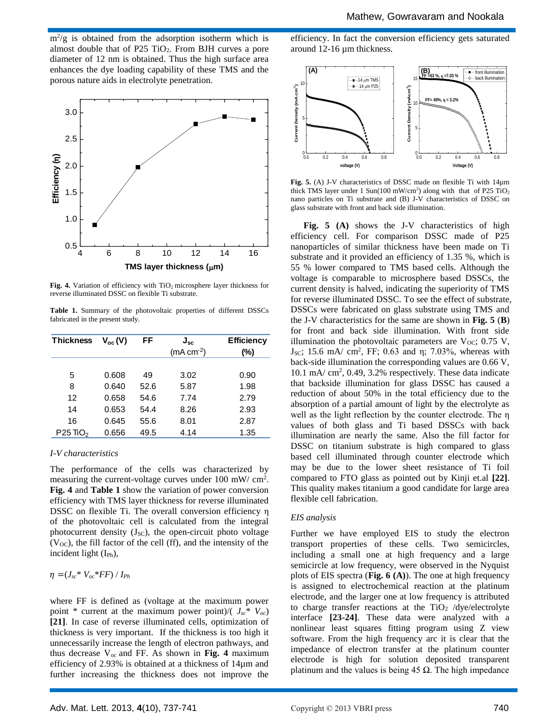$m^2/g$  is obtained from the adsorption isotherm which is almost double that of P25 TiO2. From BJH curves a pore diameter of 12 nm is obtained. Thus the high surface area enhances the dye loading capability of these TMS and the porous nature aids in electrolyte penetration.



Fig. 4. Variation of efficiency with TiO<sub>2</sub> microsphere layer thickness for reverse illuminated DSSC on flexible Ti substrate.

**Table 1.** Summary of the photovoltaic properties of different DSSCs fabricated in the present study.

| <b>Thickness</b>       | $V_{oc}(V)$ | FF   | $J_{\rm sc}$<br>$(mA cm-2)$ | <b>Efficiency</b><br>(%) |
|------------------------|-------------|------|-----------------------------|--------------------------|
|                        |             |      |                             |                          |
| 5                      | 0.608       | 49   | 3.02                        | 0.90                     |
| 8                      | 0.640       | 52.6 | 5.87                        | 1.98                     |
| 12                     | 0.658       | 54.6 | 7.74                        | 2.79                     |
| 14                     | 0.653       | 54.4 | 8.26                        | 2.93                     |
| 16                     | 0.645       | 55.6 | 8.01                        | 2.87                     |
| $P25$ TiO <sub>2</sub> | 0.656       | 49.5 | 4.14                        | 1.35                     |

#### *I-V characteristics*

The performance of the cells was characterized by measuring the current-voltage curves under 100 mW/ cm<sup>2</sup>. **Fig. 4** and **Table 1** show the variation of power conversion efficiency with TMS layer thickness for reverse illuminated DSSC on flexible Ti. The overall conversion efficiency η of the photovoltaic cell is calculated from the integral photocurrent density  $(J_{SC})$ , the open-circuit photo voltage  $(V<sub>OC</sub>)$ , the fill factor of the cell (ff), and the intensity of the incident light (I<sub>Ph</sub>),

$$
\eta = (J_{sc} * V_{oc} * FF) / I_{Ph}
$$

where FF is defined as (voltage at the maximum power point \* current at the maximum power point)/( $J_{sc}$ \*  $V_{oc}$ ) **[21]**. In case of reverse illuminated cells, optimization of thickness is very important. If the thickness is too high it unnecessarily increase the length of electron pathways, and thus decrease  $V_{\text{oc}}$  and FF. As shown in Fig. 4 maximum efficiency of 2.93% is obtained at a thickness of 14µm and further increasing the thickness does not improve the

efficiency. In fact the conversion efficiency gets saturated around 12-16 µm thickness.



**Fig. 5.** (A) J-V characteristics of DSSC made on flexible Ti with 14µm thick TMS layer under 1 Sun(100 mW/cm<sup>2</sup>) along with that of P25 TiO<sub>2</sub> nano particles on Ti substrate and (B) J-V characteristics of DSSC on glass substrate with front and back side illumination.

**Fig. 5 (A)** shows the J-V characteristics of high efficiency cell. For comparison DSSC made of P25 nanoparticles of similar thickness have been made on Ti substrate and it provided an efficiency of 1.35 %, which is 55 % lower compared to TMS based cells. Although the voltage is comparable to microsphere based DSSCs, the current density is halved, indicating the superiority of TMS for reverse illuminated DSSC. To see the effect of substrate, DSSCs were fabricated on glass substrate using TMS and the J-V characteristics for the same are shown in **Fig. 5** (**B**) for front and back side illumination. With front side illumination the photovoltaic parameters are  $V_{OC}$ ; 0.75 V, J<sub>SC</sub>; 15.6 mA/ cm<sup>2</sup>, FF; 0.63 and η; 7.03%, whereas with back-side illumination the corresponding values are 0.66 V, 10.1 mA/ cm<sup>2</sup>, 0.49, 3.2% respectively. These data indicate that backside illumination for glass DSSC has caused a reduction of about 50% in the total efficiency due to the absorption of a partial amount of light by the electrolyte as well as the light reflection by the counter electrode. The η values of both glass and Ti based DSSCs with back illumination are nearly the same. Also the fill factor for DSSC on titanium substrate is high compared to glass based cell illuminated through counter electrode which may be due to the lower sheet resistance of Ti foil compared to FTO glass as pointed out by Kinji et.al **[22]**. This quality makes titanium a good candidate for large area flexible cell fabrication.

### *EIS analysis*

Further we have employed EIS to study the electron transport properties of these cells. Two semicircles, including a small one at high frequency and a large semicircle at low frequency, were observed in the Nyquist plots of EIS spectra (**Fig. 6 (A)**). The one at high frequency is assigned to electrochemical reaction at the platinum electrode, and the larger one at low frequency is attributed to charge transfer reactions at the TiO<sub>2</sub> /dye/electrolyte interface **[23-24]**. These data were analyzed with a nonlinear least squares fitting program using Z view software. From the high frequency arc it is clear that the impedance of electron transfer at the platinum counter electrode is high for solution deposited transparent platinum and the values is being 45  $\Omega$ . The high impedance